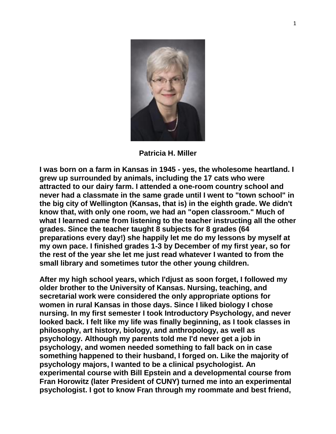

**Patricia H. Miller**

**I was born on a farm in Kansas in 1945 - yes, the wholesome heartland. I grew up surrounded by animals, including the 17 cats who were attracted to our dairy farm. I attended a one-room country school and never had a classmate in the same grade until I went to "town school" in the big city of Wellington (Kansas, that is) in the eighth grade. We didn't know that, with only one room, we had an "open classroom." Much of what I learned came from listening to the teacher instructing all the other grades. Since the teacher taught 8 subjects for 8 grades (64 preparations every day!) she happily let me do my lessons by myself at my own pace. I finished grades 1-3 by December of my first year, so for the rest of the year she let me just read whatever I wanted to from the small library and sometimes tutor the other young children.**

**After my high school years, which I'djust as soon forget, I followed my older brother to the University of Kansas. Nursing, teaching, and secretarial work were considered the only appropriate options for women in rural Kansas in those days. Since I liked biology I chose nursing. In my first semester I took Introductory Psychology, and never looked back. I felt like my life was finally beginning, as I took classes in philosophy, art history, biology, and anthropology, as well as psychology. Although my parents told me I'd never get a job in psychology, and women needed something to fall back on in case something happened to their husband, I forged on. Like the majority of psychology majors, I wanted to be a clinical psychologist. An experimental course with Bill Epstein and a developmental course from Fran Horowitz (later President of CUNY) turned me into an experimental psychologist. I got to know Fran through my roommate and best friend,**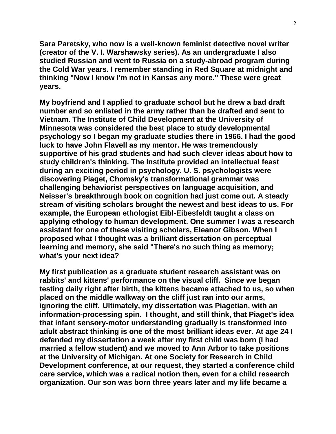**Sara Paretsky, who now is a well-known feminist detective novel writer (creator of the V. I. Warshawsky series). As an undergraduate I also studied Russian and went to Russia on a study-abroad program during the Cold War years. I remember standing in Red Square at midnight and thinking "Now I know I'm not in Kansas any more." These were great years.**

**My boyfriend and I applied to graduate school but he drew a bad draft number and so enlisted in the army rather than be drafted and sent to Vietnam. The Institute of Child Development at the University of Minnesota was considered the best place to study developmental psychology so I began my graduate studies there in 1966. I had the good luck to have John Flavell as my mentor. He was tremendously supportive of his grad students and had such clever ideas about how to study children's thinking. The Institute provided an intellectual feast during an exciting period in psychology. U. S. psychologists were discovering Piaget, Chomsky's transformational grammar was challenging behaviorist perspectives on language acquisition, and Neisser's breakthrough book on cognition had just come out. A steady stream of visiting scholars brought the newest and best ideas to us. For example, the European ethologist Eibl-Eibesfeldt taught a class on applying ethology to human development. One summer I was a research assistant for one of these visiting scholars, Eleanor Gibson. When I proposed what I thought was a brilliant dissertation on perceptual learning and memory, she said "There's no such thing as memory; what's your next idea?**

**My first publication as a graduate student research assistant was on rabbits' and kittens' performance on the visual cliff. Since we began testing daily right after birth, the kittens became attached to us, so when placed on the middle walkway on the cliff just ran into our arms, ignoring the cliff. Ultimately, my dissertation was Piagetian, with an information-processing spin. I thought, and still think, that Piaget's idea that infant sensory-motor understanding gradually is transformed into adult abstract thinking is one of the most brilliant ideas ever. At age 24 I defended my dissertation a week after my first child was born (I had married a fellow student) and we moved to Ann Arbor to take positions at the University of Michigan. At one Society for Research in Child Development conference, at our request, they started a conference child care service, which was a radical notion then, even for a child research organization. Our son was born three years later and my life became a**